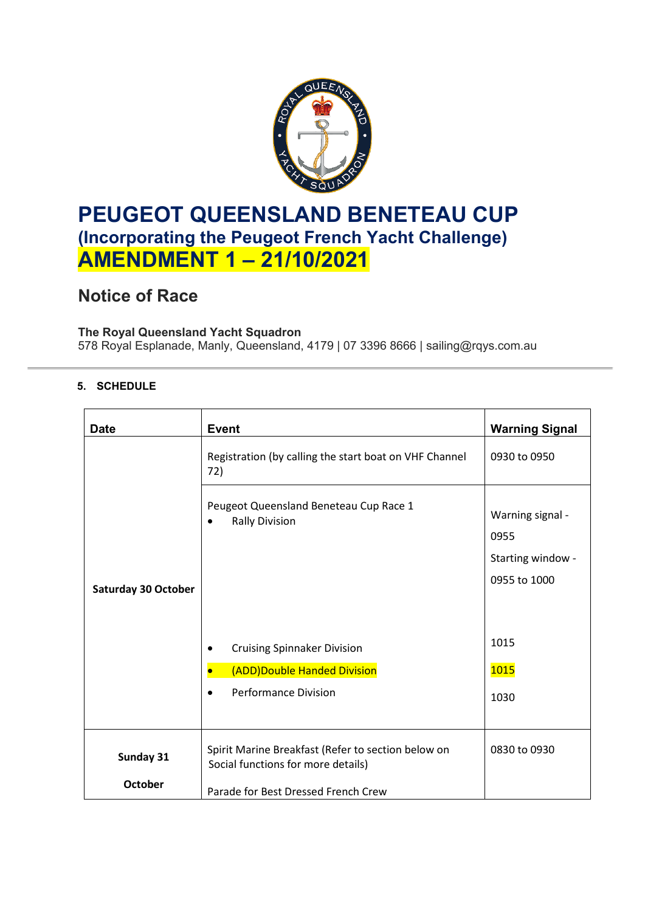

## **PEUGEOT QUEENSLAND BENETEAU CUP (Incorporating the Peugeot French Yacht Challenge) AMENDMENT 1 – 21/10/2021**

## **Notice of Race**

### **The Royal Queensland Yacht Squadron**

578 Royal Esplanade, Manly, Queensland, 4179 | 07 3396 8666 | sailing@rqys.com.au

#### **5. SCHEDULE**

| <b>Date</b>                 | <b>Event</b>                                                                                                                    | <b>Warning Signal</b>                                         |
|-----------------------------|---------------------------------------------------------------------------------------------------------------------------------|---------------------------------------------------------------|
|                             | Registration (by calling the start boat on VHF Channel<br>72)                                                                   | 0930 to 0950                                                  |
| <b>Saturday 30 October</b>  | Peugeot Queensland Beneteau Cup Race 1<br><b>Rally Division</b>                                                                 | Warning signal -<br>0955<br>Starting window -<br>0955 to 1000 |
|                             | <b>Cruising Spinnaker Division</b><br>(ADD)Double Handed Division<br><b>Performance Division</b>                                | 1015<br><b>1015</b><br>1030                                   |
| Sunday 31<br><b>October</b> | Spirit Marine Breakfast (Refer to section below on<br>Social functions for more details)<br>Parade for Best Dressed French Crew | 0830 to 0930                                                  |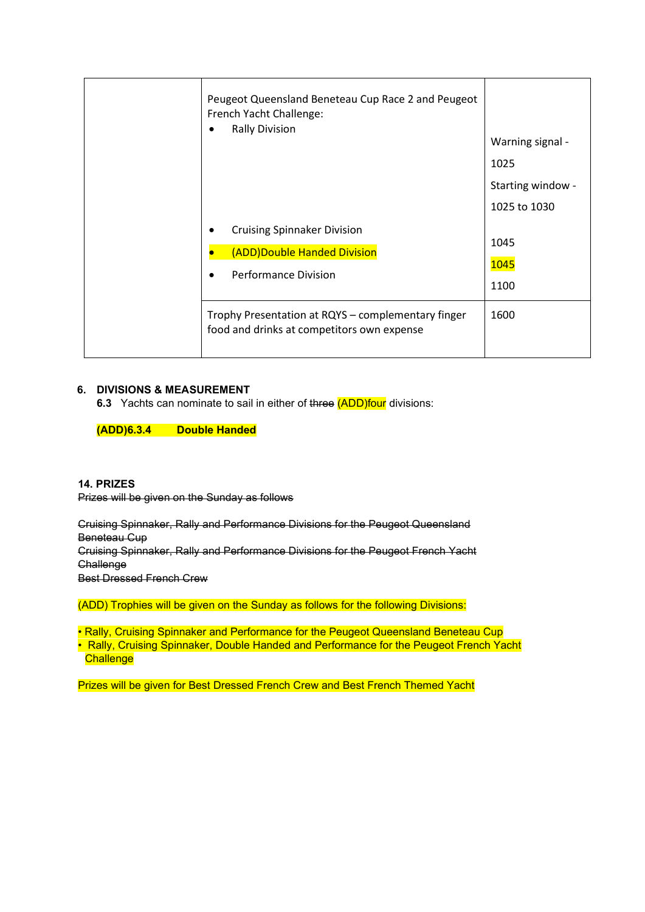| Peugeot Queensland Beneteau Cup Race 2 and Peugeot<br>French Yacht Challenge:<br><b>Rally Division</b> | Warning signal -<br>1025<br>Starting window - |
|--------------------------------------------------------------------------------------------------------|-----------------------------------------------|
| <b>Cruising Spinnaker Division</b><br>(ADD)Double Handed Division<br><b>Performance Division</b>       | 1025 to 1030<br>1045<br>1045<br>1100          |
| Trophy Presentation at RQYS - complementary finger<br>food and drinks at competitors own expense       | 1600                                          |

#### **6. DIVISIONS & MEASUREMENT**

**6.3** Yachts can nominate to sail in either of three (ADD)four divisions:

**(ADD)6.3.4 Double Handed**

**14. PRIZES**  Prizes will be given on the Sunday as follows

Cruising Spinnaker, Rally and Performance Divisions for the Peugeot Queensland Beneteau Cup Cruising Spinnaker, Rally and Performance Divisions for the Peugeot French Yacht **Challenge** Best Dressed French Crew

(ADD) Trophies will be given on the Sunday as follows for the following Divisions:

• Rally, Cruising Spinnaker and Performance for the Peugeot Queensland Beneteau Cup • Rally, Cruising Spinnaker, Double Handed and Performance for the Peugeot French Yacht **Challenge** 

Prizes will be given for Best Dressed French Crew and Best French Themed Yacht